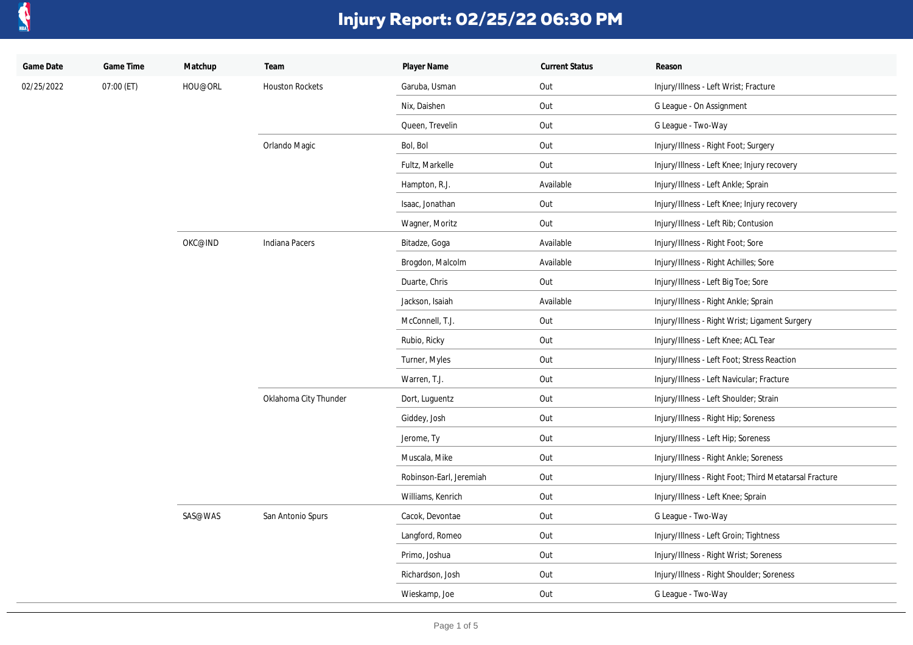

| Game Date  | Game Time  | Matchup | Team                   | Player Name             | <b>Current Status</b> | Reason                                                 |
|------------|------------|---------|------------------------|-------------------------|-----------------------|--------------------------------------------------------|
| 02/25/2022 | 07:00 (ET) | HOU@ORL | <b>Houston Rockets</b> | Garuba, Usman           | Out                   | Injury/Illness - Left Wrist; Fracture                  |
|            |            |         |                        | Nix, Daishen            | Out                   | G League - On Assignment                               |
|            |            |         |                        | Queen, Trevelin         | Out                   | G League - Two-Way                                     |
|            |            |         | Orlando Magic          | Bol, Bol                | Out                   | Injury/Illness - Right Foot; Surgery                   |
|            |            |         |                        | Fultz, Markelle         | Out                   | Injury/Illness - Left Knee; Injury recovery            |
|            |            |         |                        | Hampton, R.J.           | Available             | Injury/Illness - Left Ankle; Sprain                    |
|            |            |         |                        | Isaac, Jonathan         | Out                   | Injury/Illness - Left Knee; Injury recovery            |
|            |            |         |                        | Wagner, Moritz          | Out                   | Injury/Illness - Left Rib; Contusion                   |
|            |            | OKC@IND | Indiana Pacers         | Bitadze, Goga           | Available             | Injury/Illness - Right Foot; Sore                      |
|            |            |         |                        | Brogdon, Malcolm        | Available             | Injury/Illness - Right Achilles; Sore                  |
|            |            |         |                        | Duarte, Chris           | Out                   | Injury/Illness - Left Big Toe; Sore                    |
|            |            |         |                        | Jackson, Isaiah         | Available             | Injury/Illness - Right Ankle; Sprain                   |
|            |            |         |                        | McConnell, T.J.         | Out                   | Injury/Illness - Right Wrist; Ligament Surgery         |
|            |            |         |                        | Rubio, Ricky            | Out                   | Injury/Illness - Left Knee; ACL Tear                   |
|            |            |         |                        | Turner, Myles           | Out                   | Injury/Illness - Left Foot; Stress Reaction            |
|            |            |         |                        | Warren, T.J.            | Out                   | Injury/Illness - Left Navicular; Fracture              |
|            |            |         | Oklahoma City Thunder  | Dort, Luguentz          | Out                   | Injury/Illness - Left Shoulder; Strain                 |
|            |            |         |                        | Giddey, Josh            | Out                   | Injury/Illness - Right Hip; Soreness                   |
|            |            |         |                        | Jerome, Ty              | Out                   | Injury/Illness - Left Hip; Soreness                    |
|            |            |         |                        | Muscala, Mike           | Out                   | Injury/Illness - Right Ankle; Soreness                 |
|            |            |         |                        | Robinson-Earl, Jeremiah | Out                   | Injury/Illness - Right Foot; Third Metatarsal Fracture |
|            |            |         |                        | Williams, Kenrich       | Out                   | Injury/Illness - Left Knee; Sprain                     |
|            |            | SAS@WAS | San Antonio Spurs      | Cacok, Devontae         | Out                   | G League - Two-Way                                     |
|            |            |         |                        | Langford, Romeo         | Out                   | Injury/Illness - Left Groin; Tightness                 |
|            |            |         |                        | Primo, Joshua           | Out                   | Injury/Illness - Right Wrist; Soreness                 |
|            |            |         |                        | Richardson, Josh        | Out                   | Injury/Illness - Right Shoulder; Soreness              |
|            |            |         |                        | Wieskamp, Joe           | Out                   | G League - Two-Way                                     |
|            |            |         |                        |                         |                       |                                                        |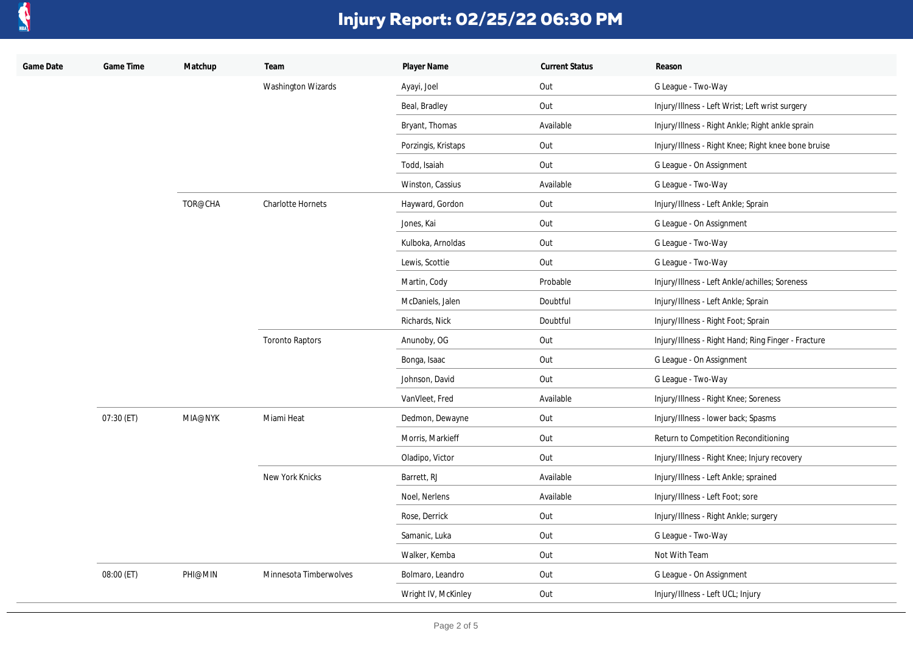

| Game Date | Game Time  | Matchup | Team                      | Player Name         | <b>Current Status</b> | Reason                                              |
|-----------|------------|---------|---------------------------|---------------------|-----------------------|-----------------------------------------------------|
|           |            |         | <b>Washington Wizards</b> | Ayayi, Joel         | Out                   | G League - Two-Way                                  |
|           |            |         |                           | Beal, Bradley       | Out                   | Injury/Illness - Left Wrist; Left wrist surgery     |
|           |            |         |                           | Bryant, Thomas      | Available             | Injury/Illness - Right Ankle; Right ankle sprain    |
|           |            |         |                           | Porzingis, Kristaps | Out                   | Injury/Illness - Right Knee; Right knee bone bruise |
|           |            |         |                           | Todd, Isaiah        | Out                   | G League - On Assignment                            |
|           |            |         |                           | Winston, Cassius    | Available             | G League - Two-Way                                  |
|           |            | TOR@CHA | <b>Charlotte Hornets</b>  | Hayward, Gordon     | Out                   | Injury/Illness - Left Ankle; Sprain                 |
|           |            |         |                           | Jones, Kai          | Out                   | G League - On Assignment                            |
|           |            |         |                           | Kulboka, Arnoldas   | Out                   | G League - Two-Way                                  |
|           |            |         |                           | Lewis, Scottie      | Out                   | G League - Two-Way                                  |
|           |            |         |                           | Martin, Cody        | Probable              | Injury/Illness - Left Ankle/achilles; Soreness      |
|           |            |         |                           | McDaniels, Jalen    | Doubtful              | Injury/Illness - Left Ankle; Sprain                 |
|           |            |         |                           | Richards, Nick      | Doubtful              | Injury/Illness - Right Foot; Sprain                 |
|           |            |         | <b>Toronto Raptors</b>    | Anunoby, OG         | Out                   | Injury/Illness - Right Hand; Ring Finger - Fracture |
|           |            |         |                           | Bonga, Isaac        | Out                   | G League - On Assignment                            |
|           |            |         |                           | Johnson, David      | Out                   | G League - Two-Way                                  |
|           |            |         |                           | VanVleet, Fred      | Available             | Injury/Illness - Right Knee; Soreness               |
|           | 07:30 (ET) | MIA@NYK | Miami Heat                | Dedmon, Dewayne     | Out                   | Injury/Illness - lower back; Spasms                 |
|           |            |         |                           | Morris, Markieff    | Out                   | Return to Competition Reconditioning                |
|           |            |         |                           | Oladipo, Victor     | Out                   | Injury/Illness - Right Knee; Injury recovery        |
|           |            |         | New York Knicks           | Barrett, RJ         | Available             | Injury/Illness - Left Ankle; sprained               |
|           |            |         |                           | Noel, Nerlens       | Available             | Injury/Illness - Left Foot; sore                    |
|           |            |         |                           | Rose, Derrick       | Out                   | Injury/Illness - Right Ankle; surgery               |
|           |            |         |                           | Samanic, Luka       | Out                   | G League - Two-Way                                  |
|           |            |         |                           | Walker, Kemba       | Out                   | Not With Team                                       |
|           | 08:00 (ET) | PHI@MIN | Minnesota Timberwolves    | Bolmaro, Leandro    | Out                   | G League - On Assignment                            |
|           |            |         |                           | Wright IV, McKinley | Out                   | Injury/Illness - Left UCL; Injury                   |
|           |            |         |                           |                     |                       |                                                     |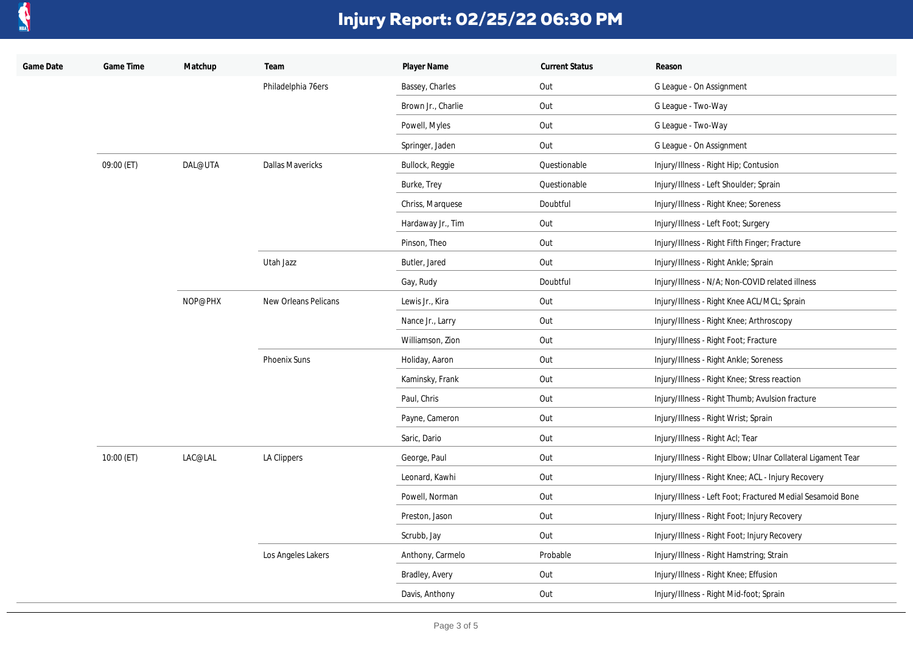

| Game Date | Game Time  | Matchup | Team                    | Player Name        | <b>Current Status</b> | Reason                                                       |
|-----------|------------|---------|-------------------------|--------------------|-----------------------|--------------------------------------------------------------|
|           |            |         | Philadelphia 76ers      | Bassey, Charles    | Out                   | G League - On Assignment                                     |
|           |            |         |                         | Brown Jr., Charlie | Out                   | G League - Two-Way                                           |
|           |            |         |                         | Powell, Myles      | Out                   | G League - Two-Way                                           |
|           |            |         |                         | Springer, Jaden    | Out                   | G League - On Assignment                                     |
|           | 09:00 (ET) | DAL@UTA | <b>Dallas Mavericks</b> | Bullock, Reggie    | Questionable          | Injury/Illness - Right Hip; Contusion                        |
|           |            |         |                         | Burke, Trey        | Questionable          | Injury/Illness - Left Shoulder; Sprain                       |
|           |            |         |                         | Chriss, Marquese   | Doubtful              | Injury/Illness - Right Knee; Soreness                        |
|           |            |         |                         | Hardaway Jr., Tim  | Out                   | Injury/Illness - Left Foot; Surgery                          |
|           |            |         |                         | Pinson, Theo       | Out                   | Injury/Illness - Right Fifth Finger; Fracture                |
|           |            |         | Utah Jazz               | Butler, Jared      | Out                   | Injury/Illness - Right Ankle; Sprain                         |
|           |            |         |                         | Gay, Rudy          | Doubtful              | Injury/Illness - N/A; Non-COVID related illness              |
|           |            | NOP@PHX | New Orleans Pelicans    | Lewis Jr., Kira    | Out                   | Injury/Illness - Right Knee ACL/MCL; Sprain                  |
|           |            |         |                         | Nance Jr., Larry   | Out                   | Injury/Illness - Right Knee; Arthroscopy                     |
|           |            |         |                         | Williamson, Zion   | Out                   | Injury/Illness - Right Foot; Fracture                        |
|           |            |         | Phoenix Suns            | Holiday, Aaron     | Out                   | Injury/Illness - Right Ankle; Soreness                       |
|           |            |         |                         | Kaminsky, Frank    | Out                   | Injury/Illness - Right Knee; Stress reaction                 |
|           |            |         |                         | Paul, Chris        | Out                   | Injury/Illness - Right Thumb; Avulsion fracture              |
|           |            |         |                         | Payne, Cameron     | Out                   | Injury/Illness - Right Wrist; Sprain                         |
|           |            |         |                         | Saric, Dario       | Out                   | Injury/Illness - Right Acl; Tear                             |
|           | 10:00 (ET) | LAC@LAL | LA Clippers             | George, Paul       | Out                   | Injury/Illness - Right Elbow; Ulnar Collateral Ligament Tear |
|           |            |         |                         | Leonard, Kawhi     | Out                   | Injury/Illness - Right Knee; ACL - Injury Recovery           |
|           |            |         |                         | Powell, Norman     | Out                   | Injury/Illness - Left Foot; Fractured Medial Sesamoid Bone   |
|           |            |         |                         | Preston, Jason     | Out                   | Injury/Illness - Right Foot; Injury Recovery                 |
|           |            |         |                         | Scrubb, Jay        | Out                   | Injury/Illness - Right Foot; Injury Recovery                 |
|           |            |         | Los Angeles Lakers      | Anthony, Carmelo   | Probable              | Injury/Illness - Right Hamstring; Strain                     |
|           |            |         |                         | Bradley, Avery     | Out                   | Injury/Illness - Right Knee; Effusion                        |
|           |            |         |                         | Davis, Anthony     | Out                   | Injury/Illness - Right Mid-foot; Sprain                      |
|           |            |         |                         |                    |                       |                                                              |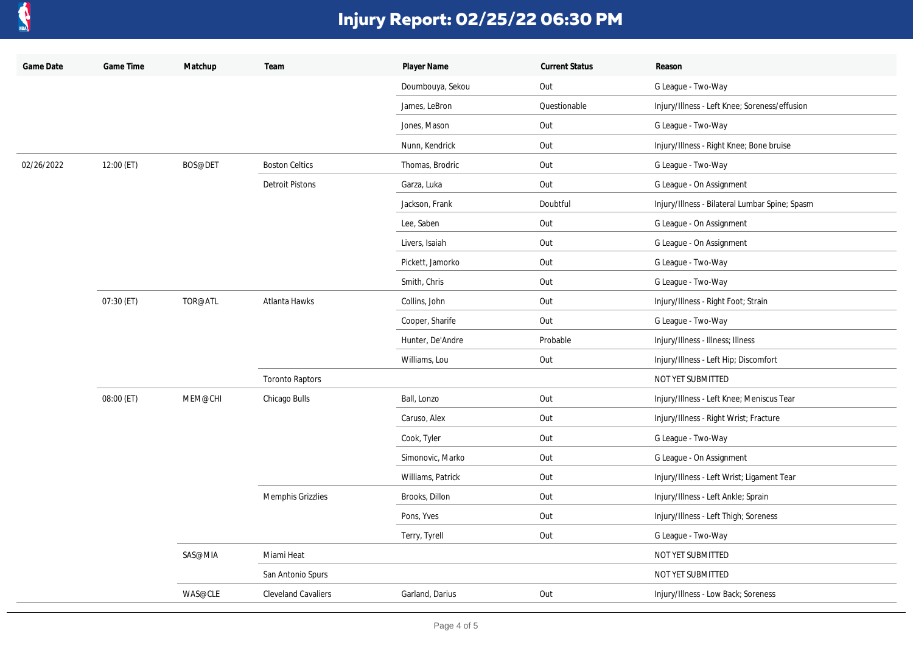

| Game Date  | Game Time  | Matchup | Team                       | Player Name       | <b>Current Status</b> | Reason                                         |
|------------|------------|---------|----------------------------|-------------------|-----------------------|------------------------------------------------|
|            |            |         |                            | Doumbouya, Sekou  | Out                   | G League - Two-Way                             |
|            |            |         |                            | James, LeBron     | Questionable          | Injury/Illness - Left Knee; Soreness/effusion  |
|            |            |         |                            | Jones, Mason      | Out                   | G League - Two-Way                             |
|            |            |         |                            | Nunn, Kendrick    | Out                   | Injury/Illness - Right Knee; Bone bruise       |
| 02/26/2022 | 12:00 (ET) | BOS@DET | <b>Boston Celtics</b>      | Thomas, Brodric   | Out                   | G League - Two-Way                             |
|            |            |         | <b>Detroit Pistons</b>     | Garza, Luka       | Out                   | G League - On Assignment                       |
|            |            |         |                            | Jackson, Frank    | Doubtful              | Injury/Illness - Bilateral Lumbar Spine; Spasm |
|            |            |         |                            | Lee, Saben        | Out                   | G League - On Assignment                       |
|            |            |         |                            | Livers, Isaiah    | Out                   | G League - On Assignment                       |
|            |            |         |                            | Pickett, Jamorko  | Out                   | G League - Two-Way                             |
|            |            |         |                            | Smith, Chris      | Out                   | G League - Two-Way                             |
|            | 07:30 (ET) | TOR@ATL | Atlanta Hawks              | Collins, John     | Out                   | Injury/Illness - Right Foot; Strain            |
|            |            |         |                            | Cooper, Sharife   | Out                   | G League - Two-Way                             |
|            |            |         |                            | Hunter, De'Andre  | Probable              | Injury/Illness - Illness; Illness              |
|            |            |         |                            | Williams, Lou     | Out                   | Injury/Illness - Left Hip; Discomfort          |
|            |            |         | <b>Toronto Raptors</b>     |                   |                       | NOT YET SUBMITTED                              |
|            | 08:00 (ET) | MEM@CHI | Chicago Bulls              | Ball, Lonzo       | Out                   | Injury/Illness - Left Knee; Meniscus Tear      |
|            |            |         |                            | Caruso, Alex      | Out                   | Injury/Illness - Right Wrist; Fracture         |
|            |            |         |                            | Cook, Tyler       | Out                   | G League - Two-Way                             |
|            |            |         |                            | Simonovic, Marko  | Out                   | G League - On Assignment                       |
|            |            |         |                            | Williams, Patrick | Out                   | Injury/Illness - Left Wrist; Ligament Tear     |
|            |            |         | Memphis Grizzlies          | Brooks, Dillon    | Out                   | Injury/Illness - Left Ankle; Sprain            |
|            |            |         |                            | Pons, Yves        | Out                   | Injury/Illness - Left Thigh; Soreness          |
|            |            |         |                            | Terry, Tyrell     | Out                   | G League - Two-Way                             |
|            |            | SAS@MIA | Miami Heat                 |                   |                       | NOT YET SUBMITTED                              |
|            |            |         | San Antonio Spurs          |                   |                       | NOT YET SUBMITTED                              |
|            |            | WAS@CLE | <b>Cleveland Cavaliers</b> | Garland, Darius   | Out                   | Injury/Illness - Low Back; Soreness            |
|            |            |         |                            |                   |                       |                                                |